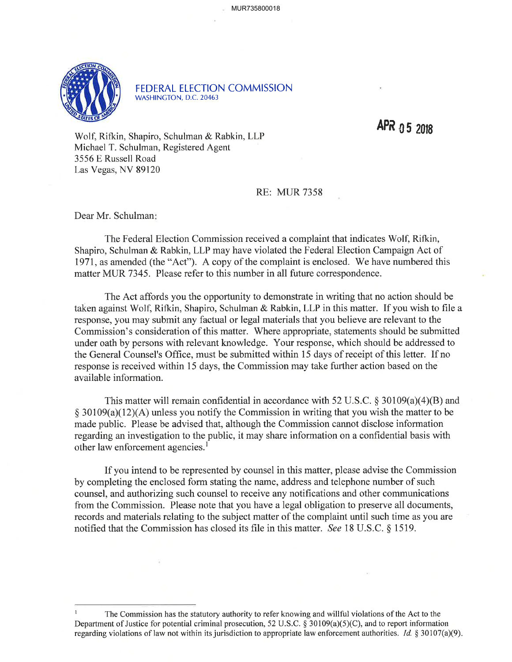

FEDERAL ELECTION COMMISSION WASHINGTON, D.C.20463

APR  $0.5$  2018

Wolf, Rifkin, Shapiro, Schulman & Rabkin, LLP Michael T. Schulman, Registered Agent 3556 E Russell Road Las Vegas, NV 89120

RE: MUR 7358

Dear Mr. Schulman

The Federal Election Commission received a complaint that indicates Wolf, Rifkin, Shapiro, Schulman & Rabkin, LLP may have violated the Federal Election Campaign Act of 1971, as amended (the "Act"). A copy of the complaint is enclosed. 'We have numbered this matter MUR 7345. Please refer to this number in all future correspondence.

The Act affords you the opportunity to demonstrate in writing that no action should be taken against Wolf, Rifkin, Shapiro, Schulman & Rabkin, LLP in this matter. If you wish to file a response, you may submit any factual or legal materials that you believe are relevant to the Commission's consideration of this matter. Where appropriate, statements should be submitted under oath by persons with relevant knowledge. Your response, which should be addressed to the General Counsel's Office, must be submitted within 15 days of receipt of this letter. If no response is received within 15 days, the Commission may take further action based on the available information.

This matter will remain confidential in accordance with 52 U.S.C.  $\S$  30109(a)(4)(B) and  $\S$  30109(a)(12)(A) unless you notify the Commission in writing that you wish the matter to be made public. Please be advised that, although the Commission cannot disclose information regarding an investigation to the public, it may share information on a confidential basis with other law enforcement agencies.<sup>1</sup>

If you intend to be represented by counsel in this matter, please advise the Commission by completing the enclosed form stating the name, address and telephone number of such counsel, and authorizing such counsel to receive any notifications and other communications from the Commission. Please note that you have a legal obligation to preserve all documents, records and materials relating to the subject matter of the complaint until such time as you are notified that the Commission has closed its file in this matter. See 18 U.S.C. \$ 1519.

I The Commission has the statutory authority to refer knowing and willful violations of the Act to the Department of Justice for potential criminal prosecution, 52 U.S.C. \$ 30109(a)(5)(C), and to report information regarding violations of law not within its jurisdiction to appropriate law enforcement authorities. Id.  $\S 30107(a)(9)$ .